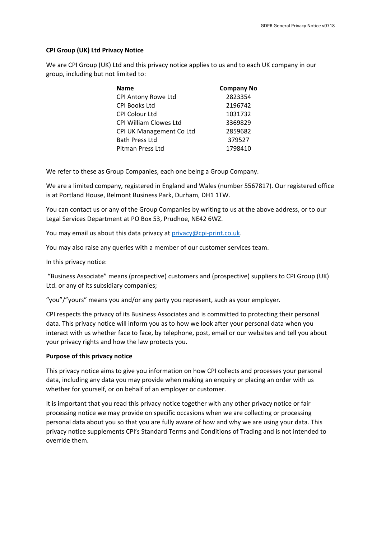# **CPI Group (UK) Ltd Privacy Notice**

We are CPI Group (UK) Ltd and this privacy notice applies to us and to each UK company in our group, including but not limited to:

| <b>Name</b>                   | <b>Company No</b> |
|-------------------------------|-------------------|
| CPI Antony Rowe Ltd           | 2823354           |
| <b>CPI Books Ltd</b>          | 2196742           |
| <b>CPI Colour Ltd</b>         | 1031732           |
| <b>CPI William Clowes Ltd</b> | 3369829           |
| CPI UK Management Co Ltd      | 2859682           |
| <b>Bath Press Ltd</b>         | 379527            |
| Pitman Press Ltd              | 1798410           |

We refer to these as Group Companies, each one being a Group Company.

We are a limited company, registered in England and Wales (number 5567817). Our registered office is at Portland House, Belmont Business Park, Durham, DH1 1TW.

You can contact us or any of the Group Companies by writing to us at the above address, or to our Legal Services Department at PO Box 53, Prudhoe, NE42 6WZ.

You may email us about this data privacy at privacy@cpi‐print.co.uk.

You may also raise any queries with a member of our customer services team.

In this privacy notice:

 "Business Associate" means (prospective) customers and (prospective) suppliers to CPI Group (UK) Ltd. or any of its subsidiary companies;

"you"/"yours" means you and/or any party you represent, such as your employer.

CPI respects the privacy of its Business Associates and is committed to protecting their personal data. This privacy notice will inform you as to how we look after your personal data when you interact with us whether face to face, by telephone, post, email or our websites and tell you about your privacy rights and how the law protects you.

## **Purpose of this privacy notice**

This privacy notice aims to give you information on how CPI collects and processes your personal data, including any data you may provide when making an enquiry or placing an order with us whether for yourself, or on behalf of an employer or customer.

It is important that you read this privacy notice together with any other privacy notice or fair processing notice we may provide on specific occasions when we are collecting or processing personal data about you so that you are fully aware of how and why we are using your data. This privacy notice supplements CPI's Standard Terms and Conditions of Trading and is not intended to override them.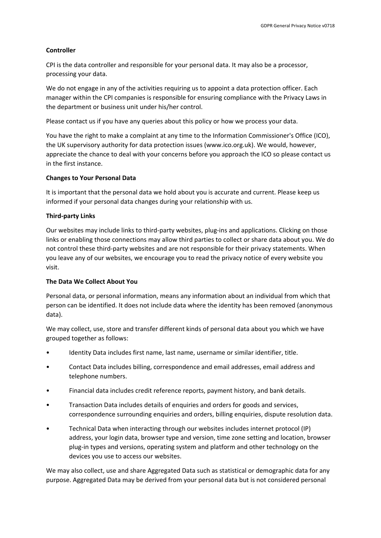# **Controller**

CPI is the data controller and responsible for your personal data. It may also be a processor, processing your data.

We do not engage in any of the activities requiring us to appoint a data protection officer. Each manager within the CPI companies is responsible for ensuring compliance with the Privacy Laws in the department or business unit under his/her control.

Please contact us if you have any queries about this policy or how we process your data.

You have the right to make a complaint at any time to the Information Commissioner's Office (ICO), the UK supervisory authority for data protection issues (www.ico.org.uk). We would, however, appreciate the chance to deal with your concerns before you approach the ICO so please contact us in the first instance.

# **Changes to Your Personal Data**

It is important that the personal data we hold about you is accurate and current. Please keep us informed if your personal data changes during your relationship with us.

# **Third‐party Links**

Our websites may include links to third-party websites, plug-ins and applications. Clicking on those links or enabling those connections may allow third parties to collect or share data about you. We do not control these third-party websites and are not responsible for their privacy statements. When you leave any of our websites, we encourage you to read the privacy notice of every website you visit.

# **The Data We Collect About You**

Personal data, or personal information, means any information about an individual from which that person can be identified. It does not include data where the identity has been removed (anonymous data).

We may collect, use, store and transfer different kinds of personal data about you which we have grouped together as follows:

- Identity Data includes first name, last name, username or similar identifier, title.
- Contact Data includes billing, correspondence and email addresses, email address and telephone numbers.
- Financial data includes credit reference reports, payment history, and bank details.
- Transaction Data includes details of enquiries and orders for goods and services, correspondence surrounding enquiries and orders, billing enquiries, dispute resolution data.
- Technical Data when interacting through our websites includes internet protocol (IP) address, your login data, browser type and version, time zone setting and location, browser plug‐in types and versions, operating system and platform and other technology on the devices you use to access our websites.

We may also collect, use and share Aggregated Data such as statistical or demographic data for any purpose. Aggregated Data may be derived from your personal data but is not considered personal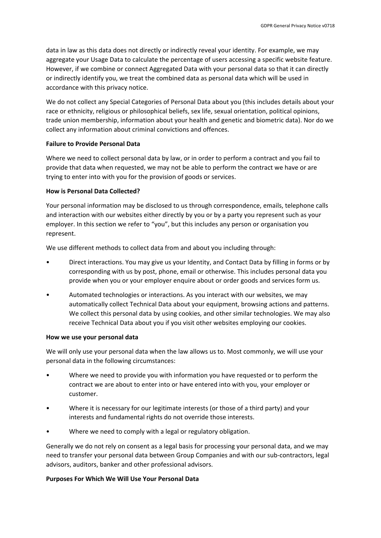data in law as this data does not directly or indirectly reveal your identity. For example, we may aggregate your Usage Data to calculate the percentage of users accessing a specific website feature. However, if we combine or connect Aggregated Data with your personal data so that it can directly or indirectly identify you, we treat the combined data as personal data which will be used in accordance with this privacy notice.

We do not collect any Special Categories of Personal Data about you (this includes details about your race or ethnicity, religious or philosophical beliefs, sex life, sexual orientation, political opinions, trade union membership, information about your health and genetic and biometric data). Nor do we collect any information about criminal convictions and offences.

### **Failure to Provide Personal Data**

Where we need to collect personal data by law, or in order to perform a contract and you fail to provide that data when requested, we may not be able to perform the contract we have or are trying to enter into with you for the provision of goods or services.

### **How is Personal Data Collected?**

Your personal information may be disclosed to us through correspondence, emails, telephone calls and interaction with our websites either directly by you or by a party you represent such as your employer. In this section we refer to "you", but this includes any person or organisation you represent.

We use different methods to collect data from and about you including through:

- Direct interactions. You may give us your Identity, and Contact Data by filling in forms or by corresponding with us by post, phone, email or otherwise. This includes personal data you provide when you or your employer enquire about or order goods and services form us.
- Automated technologies or interactions. As you interact with our websites, we may automatically collect Technical Data about your equipment, browsing actions and patterns. We collect this personal data by using cookies, and other similar technologies. We may also receive Technical Data about you if you visit other websites employing our cookies.

#### **How we use your personal data**

We will only use your personal data when the law allows us to. Most commonly, we will use your personal data in the following circumstances:

- Where we need to provide you with information you have requested or to perform the contract we are about to enter into or have entered into with you, your employer or customer.
- Where it is necessary for our legitimate interests (or those of a third party) and your interests and fundamental rights do not override those interests.
- Where we need to comply with a legal or regulatory obligation.

Generally we do not rely on consent as a legal basis for processing your personal data, and we may need to transfer your personal data between Group Companies and with our sub‐contractors, legal advisors, auditors, banker and other professional advisors.

## **Purposes For Which We Will Use Your Personal Data**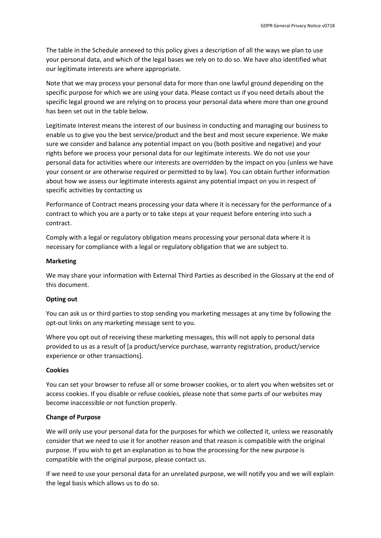The table in the Schedule annexed to this policy gives a description of all the ways we plan to use your personal data, and which of the legal bases we rely on to do so. We have also identified what our legitimate interests are where appropriate.

Note that we may process your personal data for more than one lawful ground depending on the specific purpose for which we are using your data. Please contact us if you need details about the specific legal ground we are relying on to process your personal data where more than one ground has been set out in the table below.

Legitimate Interest means the interest of our business in conducting and managing our business to enable us to give you the best service/product and the best and most secure experience. We make sure we consider and balance any potential impact on you (both positive and negative) and your rights before we process your personal data for our legitimate interests. We do not use your personal data for activities where our interests are overridden by the impact on you (unless we have your consent or are otherwise required or permitted to by law). You can obtain further information about how we assess our legitimate interests against any potential impact on you in respect of specific activities by contacting us

Performance of Contract means processing your data where it is necessary for the performance of a contract to which you are a party or to take steps at your request before entering into such a contract.

Comply with a legal or regulatory obligation means processing your personal data where it is necessary for compliance with a legal or regulatory obligation that we are subject to.

### **Marketing**

We may share your information with External Third Parties as described in the Glossary at the end of this document.

## **Opting out**

You can ask us or third parties to stop sending you marketing messages at any time by following the opt‐out links on any marketing message sent to you.

Where you opt out of receiving these marketing messages, this will not apply to personal data provided to us as a result of [a product/service purchase, warranty registration, product/service experience or other transactions].

#### **Cookies**

You can set your browser to refuse all or some browser cookies, or to alert you when websites set or access cookies. If you disable or refuse cookies, please note that some parts of our websites may become inaccessible or not function properly.

## **Change of Purpose**

We will only use your personal data for the purposes for which we collected it, unless we reasonably consider that we need to use it for another reason and that reason is compatible with the original purpose. If you wish to get an explanation as to how the processing for the new purpose is compatible with the original purpose, please contact us.

If we need to use your personal data for an unrelated purpose, we will notify you and we will explain the legal basis which allows us to do so.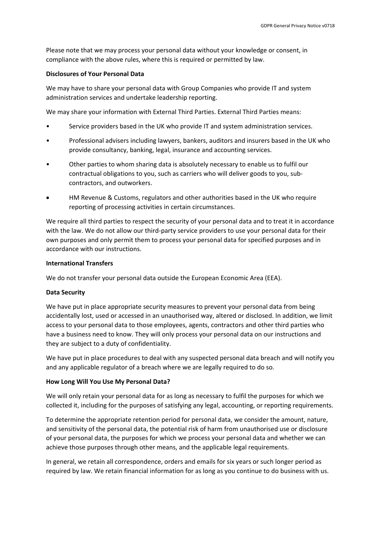Please note that we may process your personal data without your knowledge or consent, in compliance with the above rules, where this is required or permitted by law.

## **Disclosures of Your Personal Data**

We may have to share your personal data with Group Companies who provide IT and system administration services and undertake leadership reporting.

We may share your information with External Third Parties. External Third Parties means:

- Service providers based in the UK who provide IT and system administration services.
- Professional advisers including lawyers, bankers, auditors and insurers based in the UK who provide consultancy, banking, legal, insurance and accounting services.
- Other parties to whom sharing data is absolutely necessary to enable us to fulfil our contractual obligations to you, such as carriers who will deliver goods to you, sub‐ contractors, and outworkers.
- HM Revenue & Customs, regulators and other authorities based in the UK who require reporting of processing activities in certain circumstances.

We require all third parties to respect the security of your personal data and to treat it in accordance with the law. We do not allow our third-party service providers to use your personal data for their own purposes and only permit them to process your personal data for specified purposes and in accordance with our instructions.

## **International Transfers**

We do not transfer your personal data outside the European Economic Area (EEA).

# **Data Security**

We have put in place appropriate security measures to prevent your personal data from being accidentally lost, used or accessed in an unauthorised way, altered or disclosed. In addition, we limit access to your personal data to those employees, agents, contractors and other third parties who have a business need to know. They will only process your personal data on our instructions and they are subject to a duty of confidentiality.

We have put in place procedures to deal with any suspected personal data breach and will notify you and any applicable regulator of a breach where we are legally required to do so.

# **How Long Will You Use My Personal Data?**

We will only retain your personal data for as long as necessary to fulfil the purposes for which we collected it, including for the purposes of satisfying any legal, accounting, or reporting requirements.

To determine the appropriate retention period for personal data, we consider the amount, nature, and sensitivity of the personal data, the potential risk of harm from unauthorised use or disclosure of your personal data, the purposes for which we process your personal data and whether we can achieve those purposes through other means, and the applicable legal requirements.

In general, we retain all correspondence, orders and emails for six years or such longer period as required by law. We retain financial information for as long as you continue to do business with us.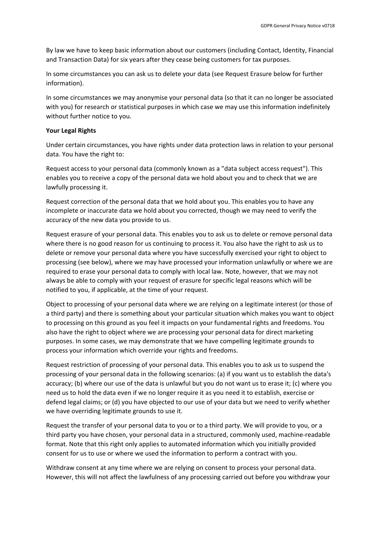By law we have to keep basic information about our customers (including Contact, Identity, Financial and Transaction Data) for six years after they cease being customers for tax purposes.

In some circumstances you can ask us to delete your data (see Request Erasure below for further information).

In some circumstances we may anonymise your personal data (so that it can no longer be associated with you) for research or statistical purposes in which case we may use this information indefinitely without further notice to you.

#### **Your Legal Rights**

Under certain circumstances, you have rights under data protection laws in relation to your personal data. You have the right to:

Request access to your personal data (commonly known as a "data subject access request"). This enables you to receive a copy of the personal data we hold about you and to check that we are lawfully processing it.

Request correction of the personal data that we hold about you. This enables you to have any incomplete or inaccurate data we hold about you corrected, though we may need to verify the accuracy of the new data you provide to us.

Request erasure of your personal data. This enables you to ask us to delete or remove personal data where there is no good reason for us continuing to process it. You also have the right to ask us to delete or remove your personal data where you have successfully exercised your right to object to processing (see below), where we may have processed your information unlawfully or where we are required to erase your personal data to comply with local law. Note, however, that we may not always be able to comply with your request of erasure for specific legal reasons which will be notified to you, if applicable, at the time of your request.

Object to processing of your personal data where we are relying on a legitimate interest (or those of a third party) and there is something about your particular situation which makes you want to object to processing on this ground as you feel it impacts on your fundamental rights and freedoms. You also have the right to object where we are processing your personal data for direct marketing purposes. In some cases, we may demonstrate that we have compelling legitimate grounds to process your information which override your rights and freedoms.

Request restriction of processing of your personal data. This enables you to ask us to suspend the processing of your personal data in the following scenarios: (a) if you want us to establish the data's accuracy; (b) where our use of the data is unlawful but you do not want us to erase it; (c) where you need us to hold the data even if we no longer require it as you need it to establish, exercise or defend legal claims; or (d) you have objected to our use of your data but we need to verify whether we have overriding legitimate grounds to use it.

Request the transfer of your personal data to you or to a third party. We will provide to you, or a third party you have chosen, your personal data in a structured, commonly used, machine‐readable format. Note that this right only applies to automated information which you initially provided consent for us to use or where we used the information to perform a contract with you.

Withdraw consent at any time where we are relying on consent to process your personal data. However, this will not affect the lawfulness of any processing carried out before you withdraw your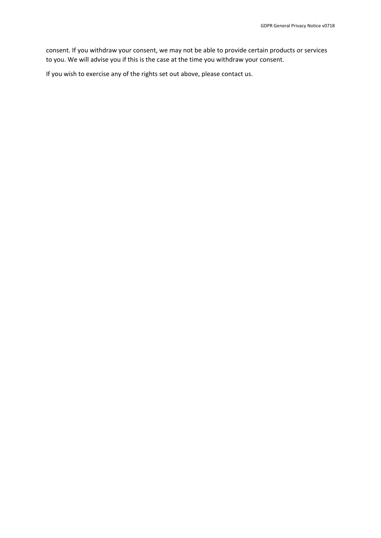consent. If you withdraw your consent, we may not be able to provide certain products or services to you. We will advise you if this is the case at the time you withdraw your consent.

If you wish to exercise any of the rights set out above, please contact us.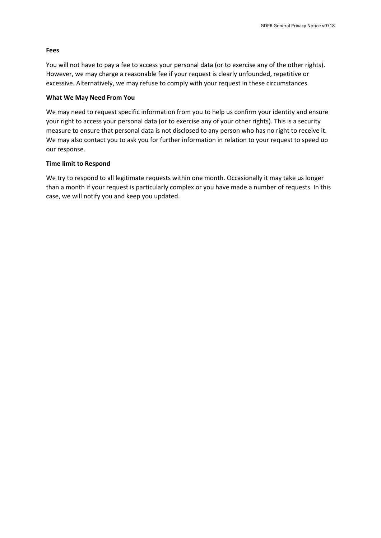### **Fees**

You will not have to pay a fee to access your personal data (or to exercise any of the other rights). However, we may charge a reasonable fee if your request is clearly unfounded, repetitive or excessive. Alternatively, we may refuse to comply with your request in these circumstances.

### **What We May Need From You**

We may need to request specific information from you to help us confirm your identity and ensure your right to access your personal data (or to exercise any of your other rights). This is a security measure to ensure that personal data is not disclosed to any person who has no right to receive it. We may also contact you to ask you for further information in relation to your request to speed up our response.

### **Time limit to Respond**

We try to respond to all legitimate requests within one month. Occasionally it may take us longer than a month if your request is particularly complex or you have made a number of requests. In this case, we will notify you and keep you updated.